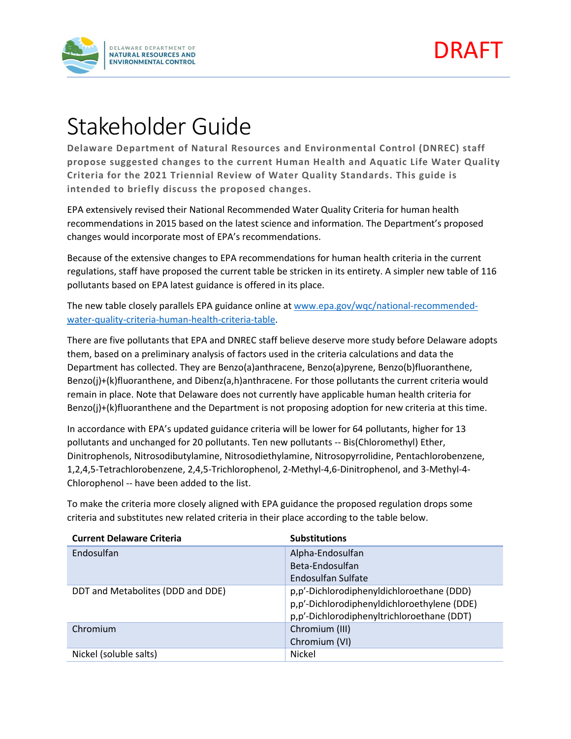



## Stakeholder Guide

**Delaware Department of Natural Resources and Environmental Control (DNREC) staff propose suggested changes to the current Human Health and Aquatic Life Water Quality Criteria for the 2021 Triennial Review of Water Quality Standards. This guide is intended to briefly discuss the proposed changes.** 

EPA extensively revised their National Recommended Water Quality Criteria for human health recommendations in 2015 based on the latest science and information. The Department's proposed changes would incorporate most of EPA's recommendations.

Because of the extensive changes to EPA recommendations for human health criteria in the current regulations, staff have proposed the current table be stricken in its entirety. A simpler new table of 116 pollutants based on EPA latest guidance is offered in its place.

The new table closely parallels EPA guidance online at [www.epa.gov/wqc/national-recommended](http://www.epa.gov/wqc/national-recommended-water-quality-criteria-human-health-criteria-table)[water-quality-criteria-human-health-criteria-table.](http://www.epa.gov/wqc/national-recommended-water-quality-criteria-human-health-criteria-table)

There are five pollutants that EPA and DNREC staff believe deserve more study before Delaware adopts them, based on a preliminary analysis of factors used in the criteria calculations and data the Department has collected. They are Benzo(a)anthracene, Benzo(a)pyrene, Benzo(b)fluoranthene, Benzo(j)+(k)fluoranthene, and Dibenz(a,h)anthracene. For those pollutants the current criteria would remain in place. Note that Delaware does not currently have applicable human health criteria for Benzo(j)+(k)fluoranthene and the Department is not proposing adoption for new criteria at this time.

In accordance with EPA's updated guidance criteria will be lower for 64 pollutants, higher for 13 pollutants and unchanged for 20 pollutants. Ten new pollutants -- Bis(Chloromethyl) Ether, Dinitrophenols, Nitrosodibutylamine, Nitrosodiethylamine, Nitrosopyrrolidine, Pentachlorobenzene, 1,2,4,5-Tetrachlorobenzene, 2,4,5-Trichlorophenol, 2-Methyl-4,6-Dinitrophenol, and 3-Methyl-4- Chlorophenol -- have been added to the list.

| <b>Current Delaware Criteria</b>  | <b>Substitutions</b>                                                                                                                   |
|-----------------------------------|----------------------------------------------------------------------------------------------------------------------------------------|
| Endosulfan                        | Alpha-Endosulfan                                                                                                                       |
|                                   | Beta-Endosulfan                                                                                                                        |
|                                   | Endosulfan Sulfate                                                                                                                     |
| DDT and Metabolites (DDD and DDE) | p,p'-Dichlorodiphenyldichloroethane (DDD)<br>p,p'-Dichlorodiphenyldichloroethylene (DDE)<br>p,p'-Dichlorodiphenyltrichloroethane (DDT) |
| Chromium                          | Chromium (III)                                                                                                                         |
|                                   | Chromium (VI)                                                                                                                          |
| Nickel (soluble salts)            | <b>Nickel</b>                                                                                                                          |

To make the criteria more closely aligned with EPA guidance the proposed regulation drops some criteria and substitutes new related criteria in their place according to the table below.